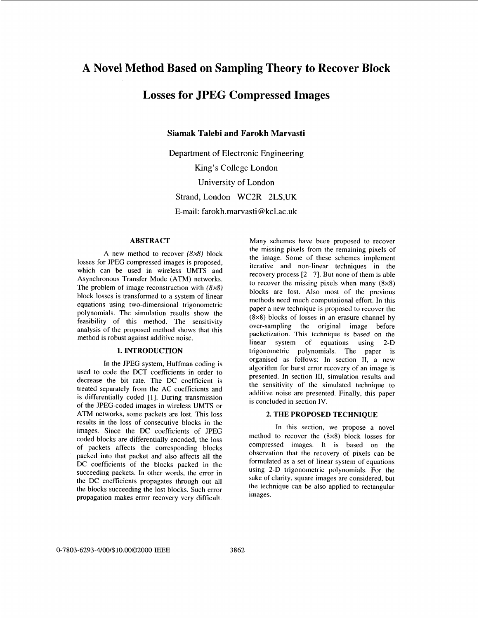## **A Novel Method Based on Sampling Theory to Recover Block**

# **Losses for JPEG Compressed Images**

**Siamak Talebi and Farokh Marvasti** 

Department of Electronic Engineering King's College London University of London Strand, London WC2R 2LS,UK **E-mail:** farokh.marvasti [@kcl.ac.uk](mailto:kcl.ac.uk)

## **ABSTRACT**

A new method to recover *(8x8)* block losses for JPEG compressed images is proposed, which can be used in wireless UMTS and Asynchronous Transfer Mode (ATM) networks. The problem of image reconstruction with *(8x8)*  block losses is transformed to a system of linear equations using two-dimensional trigonometric polynomials. The simulation results show the feasibility of this method. The sensitivity analysis of the proposed method shows that this method is robust against additive noise.

### **1. INTRODUCTION**

In the JPEG system, Huffman coding is used to code the DCT coefficients in order to decrease the bit rate. The DC coefficient is treated separately from the **AC** coefficients and is differentially coded [1]. During transmission of the JPEG-coded images in wireless UMTS or ATM networks, some packets are lost. This loss results in the loss of consecutive blocks in the images. Since the DC coefficients of JPEG coded blocks are differentially encoded, the loss of packets affects the corresponding blocks packed into that packet and also affects all the DC coefficients of the blocks packed in the succeeding packets. In other words, the error in the DC coefficients propagates through out all the blocks succeeding the lost blocks. Such error propagation makes error recovery very difficult.

Many schemes have been proposed to recover the missing pixels from the remaining pixels of the image. Some of these schemes implement iterative and non-linear techniques in the recovery process *[2* - **71.** But none of them is able to recover the missing pixels when many  $(8\times8)$ blocks are lost. Also most of the previous methods need much computational effort. In this paper a new technique is proposed to recover the (8x8) blocks of losses in an erasure channel by over-sampling the original image before packetization. **This** technique is based on the linear system of equations using 2-D trigonometric polynomials. The paper is organised as follows: In section 11, a new algorithm for burst error recovery of an image is presented. In section 111, simulation results and the sensitivity of the simulated technique to additive noise are presented. Finally, this paper is concluded in section IV.

#### **2. THE PROPOSED TECHNIQUE**

In this section, we propose a novel method to recover the (8x8) block losses for compressed images. **It** is based on the observation that the recovery of pixels can be formulated as a set of linear system of equations using 2-D trigonometric polynomials. For the sake of clarity, square images are considered, but the technique can be also applied to rectangular images.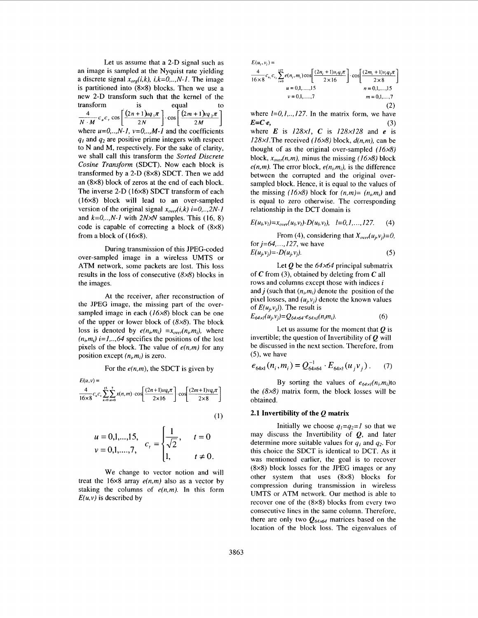Let us assume that a 2-D signal such as an image is sampled at the Nyquist rate yielding a discrete signal  $x_{org}(i, k)$ ,  $i, k=0, \ldots, N-1$ . The image is partitioned into (8x8) blocks. Then we use a new 2-D transform such that the kernel of the transform is equal to<br>  $\frac{4}{N \cdot M} c_u c_v \cos \left[ \frac{(2n+1)u q_1 \pi}{2N} \right] \cdot \cos \left[ \frac{(2m+1)u q_2 \pi}{2M} \right]$ where  $u=0, ..., N-1$ ,  $v=0, ..., M-1$  and the coefficients  $q_1$  and  $q_2$  are positive prime integers with respect to N and M, respectively. For the sake of clarity, we shall call this transform the Sorted Discrete *Cosine* Transform (SDCT). Now each block is transformed by a 2-D (8x8) SDCT. Then we add an (8x8) block of zeros at the end of each block. The inverse 2-D (16x8) SDCT transform of each (16x8) block will lead to an over-sampled version of the original signal  $x_{\text{over}}(i,k)$  i=0,..,2N-1 and  $k=0, \ldots, N-1$  with  $2N \times N$  samples. This (16, 8) code is capable of correcting a block of  $(8\times8)$ from a block of (16x8).

During transmission of this JPEG-coded over-sampled image in a wireless UMTS or ATM network, some packets are lost. This loss results in the loss of consecutive  $(8x8)$  blocks in the images.

At the receiver, after reconstruction of the JPEG image, the missing part of the oversampled image in each  $(16x8)$  block can be one of the upper or lower block of  $(8 \times 8)$ . The block loss is denoted by  $e(n_i, m_i) = x_{over}(n_i, m_i)$ , where  $(n_i, m_i)$  *i*=1,..,64 specifies the positions of the lost pixels of the block. The value of *e(n,m)* for any position except  $(n_i, m_i)$  is zero.

For the  $e(n,m)$ , the SDCT is given by  $E(u, v) =$  $\frac{4}{16\times8}c_u c_v \sum_{n=0}^{15}\sum_{m=0}^{7} x(n,m) \cdot \cos \left[\frac{(2n+1)uq_1\pi}{2\times16}\right] \cdot \cos \left[\frac{(2m+1)vq_1\pi}{2\times8}\right]$  $(1)$ 

$$
u = 0,1,...,15, \quad c_{t} = \begin{cases} \frac{1}{\sqrt{2}}, & t = 0 \\ 1, & t \neq 0. \end{cases}
$$

We change to vector notion and will treat the  $16\times8$  array  $e(n,m)$  also as a vector by staking the columns of *e(n,m).* In this form  $E(u, v)$  is described by

$$
E(u_i, v_i) =
$$
  
\n
$$
\frac{4}{16 \times 8} c_{u_i} c_{v_i} \sum_{i=0}^{127} e(n_i, m_i) \cos \left[ \frac{(2n_i + 1)u_i q_i \pi}{2 \times 16} \right] \cdot \cos \left[ \frac{(2m_i + 1)v_i q_2 \pi}{2 \times 8} \right]
$$
  
\n $u = 0, 1, \dots, 15$   
\n $v = 0, 1, \dots, 7$   
\n $m = 0, 1, \dots, 7$   
\n(2)

 $E=C.e,$  (3) where  $l=0,1,..,127$ . In the matrix form, we have

where *E* is 128x1, *C* is 128x128 and *e* is 128xl.The received (16x8) block, *d(n,m),* can be thought of as the original over-sampled  $(16x8)$ block,  $x_{over}(n,m)$ , minus the missing (16x8) block  $e(n,m)$ . The error block,  $e(n_i, m_i)$ , is the difference between the corrupted and the original oversampled block. Hence, it is equal to the values of the missing (16x8) block for  $(n,m) = (n_i,m_i)$  and is equal to zero otherwise. The corresponding relationship in the DCT domain is

$$
E(u_b v_l) = x_{over}(u_b v_l) - D(u_b v_l), \quad l = 0, 1, ..., 127.
$$
 (4)

From (4), considering that  $X_{over}(u_j, v_j) = 0$ , for  $j = 64, ..., 127$ , we have  $E(u_j, v_j) = -D(u_j, v_j).$  (5)

Let  $Q$  be the  $64 \times 64$  principal submatrix of *C* from *(3),* obtained by deleting from *C* all rows and columns except those with indices *<sup>i</sup>* and *j* (such that  $(n<sub>i</sub>,m<sub>i</sub>)$ ) denote the position of the pixel losses, and  $(u_i, v_i)$  denote the known values of  $E(u_i, v_i)$ ). The result is  $E_{64x}(u_i, v_j) = Q_{64x64} \cdot e_{64x}(n_i, m_i).$  (6)

Let us assume for the moment that *Q* is invertible; the question of Invertibility of *Q* will be discussed in the next section. Therefore, from *(5),* we have

$$
e_{64\times1}(n_i, m_i) = Q_{64\times64}^{-1} \cdot E_{64\times1}(u_j v_j). \tag{7}
$$

By sorting the values of  $e_{64 \times i}(n_i, m_i)$ to the  $(8\times8)$  matrix form, the block losses will be obtained.

#### **2.1 Invertibility of the** *Q* **matrix**

Initially we choose  $q_1=q_2=1$  so that we may discuss the Invertibility of *Q,* and later determine more suitable values for  $q_1$  and  $q_2$ . For this choice the SDCT is identical to DCT. As it was mentioned earlier, the goal is to recover (8x8) block losses for the JPEG images or any other system that uses (8x8) blocks for compression during transmission in wireless UMTS or ATM network. Our method is able to recover one of the (8x8) blocks from every two consecutive lines in the same column. Therefore, there are only two  $Q_{64\times64}$  matrices based on the location of the block loss. The eigenvalues of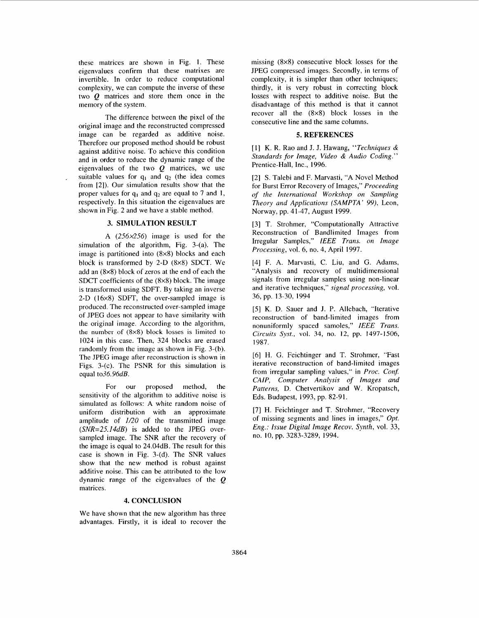these matrices are shown in [Fig. 1.](#page-3-0) These eigenvalues confirm that these matrixes are invertible. In order to reduce computational complexity, we can compute the inverse of these two  $\boldsymbol{O}$  matrices and store them once in the memory of the system.

The difference between the pixel of the original image and the reconstructed compressed image can be regarded as additive noise. Therefore our proposed method should be robust against additive noise. To achieve this condition and in order to reduce the dynamic range of the eigenvalues of the two  $Q$  matrices, we use suitable values for  $q_1$  and  $q_2$  (the idea comes from [2]). Our simulation results show that the proper values for  $q_1$  and  $q_2$  are equal to 7 and 1, respectively. In this situation the eigenvalues are shown in [Fig. 2](#page-3-0) and we have a stable method.

.

#### **3. SIMULATION RESULT**

A  $(256 \times 256)$  image is used for the simulation of the algorithm, Fig. 3-(a). The image is partitioned into (8x8) blocks and each block is transformed by 2-D (8x8) SDCT. We add an (8x8) block of zeros at the end of each the SDCT coefficients of the (8x8) block. The image is transformed using SDFT. By taking an inverse 2-D (16x8) SDFT, the over-sampled image is produced. The reconstructed over-sampled image of JPEG does not appear to have similarity with the original image. According to the algorithm, the number of (8x8) **block** losses is limited to 1024 in this case. Then, 324 blocks are erased randomly from the image as shown in Fig. 3-(b). The JPEG image after reconstruction is shown in Figs. 3-(c). The PSNR for this simulation is equal to36.96dB.

For our proposed method, the sensitivity of the algorithm to additive noise is simulated as follows: A white random noise of uniform distribution with an approximate amplitude of *1/20* of the transmitted image *(SNR=25.14dB)* is added to the JPEG oversampled image. The SNR after the recovery of the image is equal to 24.04dB. The result for this case is shown in Fig. 3-(d). The SNR values show that the new method is robust against additive noise. This can be attributed to the low dynamic range of the eigenvalues of the *Q*  matrices.

### **4. CONCLUSION**

We have shown that the new algorithm has three advantages. Firstly, it is ideal to recover the missing (8x8) consecutive block losses for the JPEG compressed images. Secondly, in terms of complexity, it is simpler than other techniques; thirdly, it is very robust in correcting block losses with respect to additive noise. But the disadvantage of this method is that it cannot recover all the (8x8) block losses in the consecutive line and the same columns.

#### **5. REFERENCES**

[I] K. R. Rao and J. J. Hawang, *"Techniques* & *Standards for Image, Video* & *Audio Coding."*  Prentice-Hall, Inc., 1996.

[2] **S.** Talebi and F. Marvasti, "A Novel Method for Burst Error Recovery of Images," *Proceeding*  of *the International Workshop on Sampling Theory and Applications (SAMPTA' 99)*, Leon, Norway, pp. 41-47, August 1999.

[3] T. Strohmer, "Computationally Attractive Reconstruction of Bandlimited Images from Irregular Samples," *IEEE Trans. on Image Processing,* vol. 6, no. 4, April 1997.

[4] F. A. Marvasti, C. Liu, and G. Adams, "Analysis and recovery of multidimensional signals from irregular samples using non-linear and iterative techniques," *signal processing,* vol. 36, pp. 13-30. 1994

[5] **K.** D. Sauer and J. P. Allebach, "Iterative reconstruction of band-limited images from nonuniformly spaced samoles," *IEEE Trans. Circuits* Sysf., vol. 34, no. **12,** pp. 1497-1506, 1987.

[6] H. G. Feichtinger and T. Strohmer, "Fast iterative reconstruction of band-limited images from irregular sampling values," in *Proc. Conf. CAIP, Computer Analysis of Images and Patterns,* D. Chetvertikov and W. Kropatsch, Eds. Budapest, 1993, pp. 82-91.

[7] H. Feichtinger and T. Strohmer, "Recovery of missing segments and lines in images," *Opt. Eng.: Issue Digital Image Recov. Synth,* vol. 33, no. 10, pp. 3283-3289, 1994.